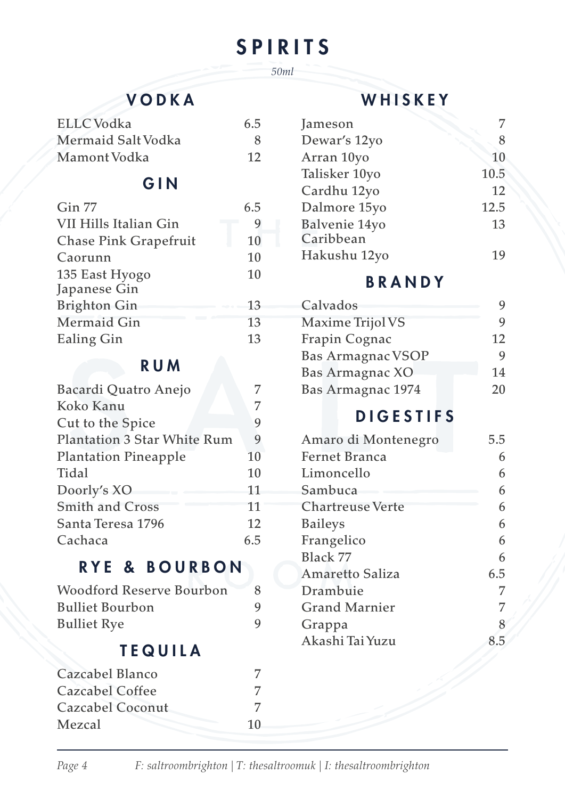# SPIRITS *50ml*

## VODKA

| ELLC Vodka         | 6.5 |
|--------------------|-----|
| Mermaid Salt Vodka | 8   |
| Mamont Vodka       | 12  |

## GIN

| Gin 77                | 6.5 |
|-----------------------|-----|
| VII Hills Italian Gin | 9   |
| Chase Pink Grapefruit | 10  |
| Caorunn               | 10  |
| 135 East Hyogo        | 10  |
| Japanese Gin          |     |
| <b>Brighton Gin</b>   | 13  |
| Mermaid Gin           | 13  |
| Ealing Gin            | 13  |

### RUM

| Bacardi Quatro Anejo               |     |  |
|------------------------------------|-----|--|
| Koko Kanu                          | 7   |  |
| Cut to the Spice                   | 9   |  |
| <b>Plantation 3 Star White Rum</b> | 9   |  |
| <b>Plantation Pineapple</b>        | 10  |  |
| Tidal                              | 10  |  |
| Doorly's XO                        | 11  |  |
| <b>Smith and Cross</b>             | 11  |  |
| Santa Teresa 1796                  | 12  |  |
| Cachaca                            | 6.5 |  |

## RYE & BOURBON

| Woodford Reserve Bourbon | 8 |
|--------------------------|---|
| <b>Bulliet Bourbon</b>   | 9 |
| <b>Bulliet Rye</b>       | 9 |

# TEQUILA

| Cazcabel Blanco  |    |
|------------------|----|
| Cazcabel Coffee  |    |
| Cazcabel Coconut |    |
| Mezcal           | 10 |
|                  |    |

## WHISKEY

| Jameson       |      |
|---------------|------|
| Dewar's 12yo  | 8    |
| Arran 10yo    | 10   |
| Talisker 10yo | 10.5 |
| Cardhu 12yo   | 12   |
| Dalmore 15yo  | 12.5 |
| Balvenie 14yo | 13   |
| Caribbean     |      |
| Hakushu 12yo  |      |

# BRANDY

| 12 |
|----|
|    |
| 14 |
| 20 |
|    |

# DIGESTIFS

| Amaro di Montenegro  | 5.5 |
|----------------------|-----|
| <b>Fernet Branca</b> |     |
| Limoncello           |     |
| Sambuca              |     |
| Chartreuse Verte     | 6   |
| <b>Baileys</b>       | 6   |
| Frangelico           | 6   |
| Black 77             | 6   |
| Amaretto Saliza      | 6.5 |
| Drambuie             | 7   |
| Grand Marnier        |     |
| Grappa               | 8   |
| Akashi Tai Yuzu      |     |
|                      |     |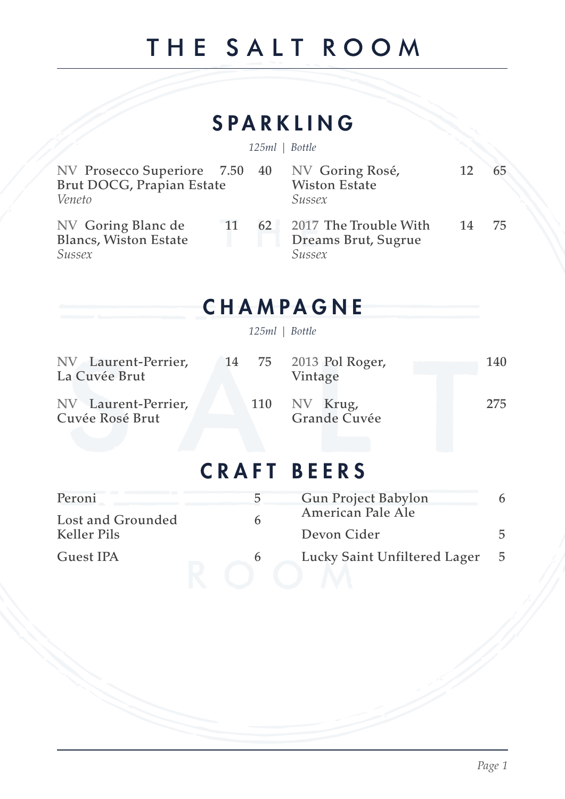# THE SALT ROOM

# SPARKLING

*125ml | Bottle*

| NV Prosecco Superiore 7.50 40<br>Brut DOCG, Prapian Estate<br>Veneto |    |    | NV Goring Rosé,<br><b>Wiston Estate</b><br>Sussex      | 12 | 65. |
|----------------------------------------------------------------------|----|----|--------------------------------------------------------|----|-----|
| NV Goring Blanc de<br><b>Blancs, Wiston Estate</b><br>Sussex         | 11 | 62 | 2017 The Trouble With<br>Dreams Brut, Sugrue<br>Sussex | 14 | 75. |

# CHAMPAGNE

*125ml | Bottle*

| NV Laurent-Perrier,<br>La Cuvée Brut   |  | 14 75 2013 Pol Roger,<br>Vintage | 140 |
|----------------------------------------|--|----------------------------------|-----|
| NV Laurent-Perrier.<br>Cuvée Rosé Brut |  | 110 NV Krug,<br>Grande Cuvée     | 275 |

# CRAFT BEERS

| Peroni            |   | <b>Gun Project Babylon</b>   |    |
|-------------------|---|------------------------------|----|
| Lost and Grounded |   | American Pale Ale            |    |
| Keller Pils       |   | Devon Cider                  |    |
| Guest IPA         | h | Lucky Saint Unfiltered Lager | 5. |
|                   |   |                              |    |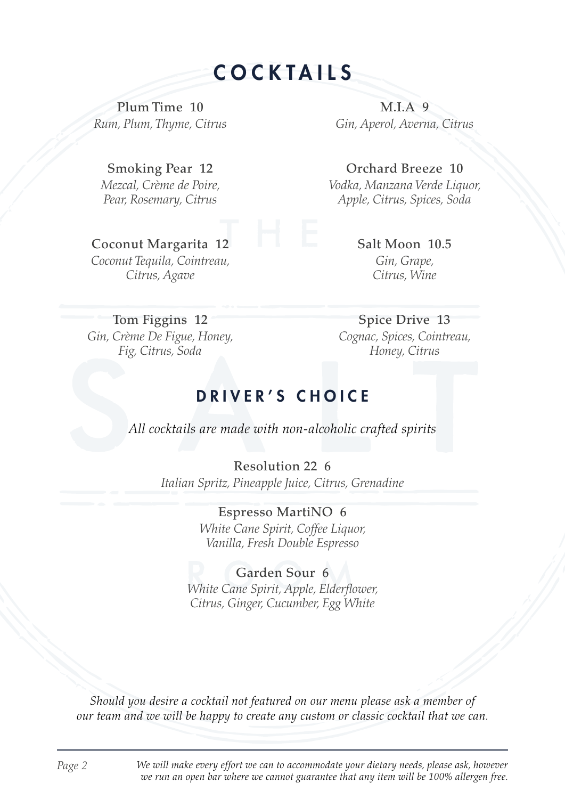COCKTAILS

Plum Time 10 *Rum, Plum, Thyme, Citrus*

M.I.A 9 *Gin, Aperol, Averna, Citrus*

Orchard Breeze 10 *Vodka, Manzana Verde Liquor, Apple, Citrus, Spices, Soda*

Smoking Pear 12 *Mezcal, Crème de Poire, Pear, Rosemary, Citrus*

Coconut Margarita 12 *Coconut Tequila, Cointreau, Citrus, Agave*

Salt Moon 10.5 *Gin, Grape, Citrus, Wine*

Tom Figgins 12 *Gin, Crème De Figue, Honey, Fig, Citrus, Soda*

Spice Drive 13 *Cognac, Spices, Cointreau, Honey, Citrus*

#### DRIVER'S CHOICE

*All cocktails are made with non-alcoholic crafted spirits*

Resolution 22 6 *Italian Spritz, Pineapple Juice, Citrus, Grenadine*

> Espresso MartiNO 6 *White Cane Spirit, Coffee Liquor, Vanilla, Fresh Double Espresso*

Garden Sour 6 *White Cane Spirit, Apple, Elder!ower, Citrus, Ginger, Cucumber, Egg White*

*Should you desire a cocktail not featured on our menu please ask a member of our team and we will be happy to create any custom or classic cocktail that we can.*

*Page 2 We will make every effort we can to accommodate your dietary needs, please ask, however we run an open bar where we cannot guarantee that any item will be 100% allergen free.*